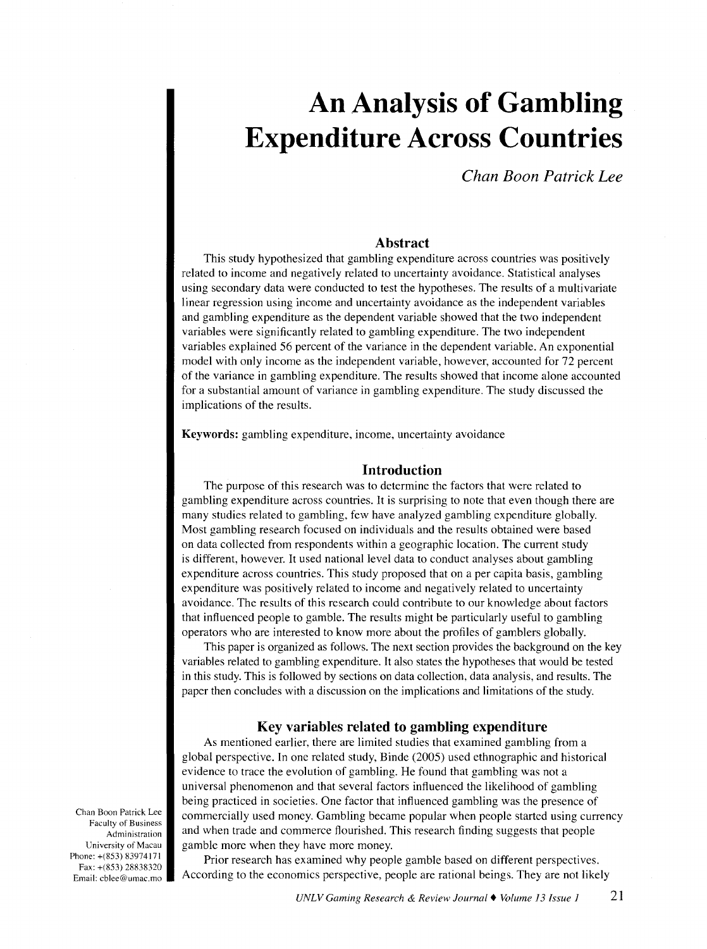# **An Analysis of Gambling Expenditure Across Countries**

*Chan Boon Patrick Lee* 

## **Abstract**

This study hypothesized that gambling expenditure across countries was positively related to income and negatively related to uncertainty avoidance. Statistical analyses using secondary data were conducted to test the hypotheses. The results of a multivariate linear regression using income and uncertainty avoidance as the independent variables and gambling expenditure as the dependent variable showed that the two independent variables were significantly related to gambling expenditure. The two independent variables explained 56 percent of the variance in the dependent variable. An exponential model with only income as the independent variable, however, accounted for 72 percent of the variance in gambling expenditure. The results showed that income alone accounted for a substantial amount of variance in gambling expenditure. The study discussed the implications of the results.

Keywords: gambling expenditure, income, uncertainty avoidance

## **Introduction**

The purpose of this research was to determine the factors that were related to gambling expenditure across countries. It is surprising to note that even though there are many studies related to gambling, few have analyzed gambling expenditure globally. Most gambling research focused on individuals and the results obtained were based on data collected from respondents within a geographic location. The current study is different, however. It used national level data to conduct analyses about gambling expenditure across countries. This study proposed that on a per capita basis, gambling expenditure was positively related to income and negatively related to uncertainty avoidance. The results of this research could contribute to our knowledge about factors that influenced people to gamble. The results might be particularly useful to gambling operators who are interested to know more about the profiles of gamblers globally.

This paper is organized as follows. The next section provides the background on the key variables related to gambling expenditure. It also states the hypotheses that would be tested in this study. This is followed by sections on data collection, data analysis, and results. The paper then concludes with a discussion on the implications and limitations of the study.

#### **Key variables related to gambling expenditure**

As mentioned earlier, there are limited studies that examined gambling from a global perspective. In one related study, Binde (2005) used ethnographic and historical evidence to trace the evolution of gambling. He found that gambling was not a universal phenomenon and that several factors influenced the likelihood of gambling being practiced in societies. One factor that influenced gambling was the presence of commercially used money. Gambling became popular when people started using currency and when trade and commerce flourished. This research finding suggests that people gamble more when they have more money.

Prior research has examined why people gamble based on different perspectives. According to the economics perspective, people are rational beings. They are not likely

Chan Boon Patrick Lee Faculty of Business Administration University of Macau Phone: +(853) 83974171 Fax: +(853) 28838320 Email: cblee@umac.mo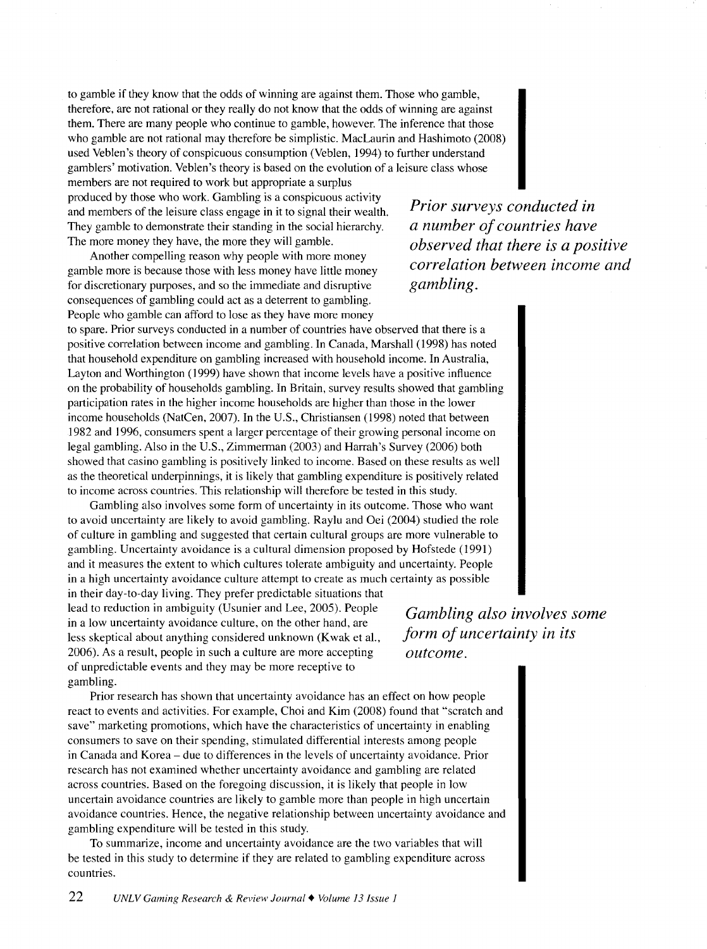to gamble if they know that the odds of winning are against them. Those who gamble, therefore, are not rational or they really do not know that the odds of winning are against them. There are many people who continue to gamble, however. The inference that those who gamble are not rational may therefore be simplistic. MacLaurin and Hashimoto (2008) used Veblen's theory of conspicuous consumption (Veblen, I 994) to further understand gamblers' motivation. Veblen's theory is based on the evolution of a leisure class whose

members are not required to work but appropriate a surplus produced by those who work. Gambling is a conspicuous activity and members of the leisure class engage in it to signal their wealth. They gamble to demonstrate their standing in the social hierarchy. The more money they have, the more they will gamble.

Another compelling reason why people with more money gamble more is because those with less money have little money for discretionary purposes, and so the immediate and disruptive consequences of gambling could act as a deterrent to gambling. People who gamble can afford to lose as they have more money

to spare. Prior surveys conducted in a number of countries have observed that there is a positive correlation between income and gambling. In Canada, Marshall (1998) has noted that household expenditure on gambling increased with household income. In Australia, Layton and Worthington (1999) have shown that income levels have a positive influence on the probability of households gambling. In Britain, survey results showed that gambling participation rates in the higher income households are higher than those in the lower income households (NatCen, 2007). In the U.S., Christiansen (1998) noted that between 1982 and 1996, consumers spent a larger percentage of their growing personal income on legal gambling. Also in the U.S., Zimmerman (2003) and Harrah's Survey (2006) both showed that casino gambling is positively linked to income. Based on these results as well as the theoretical underpinnings, it is likely that gambling expenditure is positively related to income across countries. This relationship will therefore be tested in this study.

Gambling also involves some form of uncertainty in its outcome. Those who want to avoid uncertainty are likely to avoid gambling. Raylu and Oei (2004) studied the role of culture in gambling and suggested that certain cultural groups are more vulnerable to gambling. Uncertainty avoidance is a cultural dimension proposed by Hofstede (1991) and it measures the extent to which cultures tolerate ambiguity and uncertainty. People in a high uncertainty avoidance culture attempt to create as much certainty as possible

in their day-to-day living. They prefer predictable situations that lead to reduction in ambiguity (Usunier and Lee, 2005). People in a low uncertainty avoidance culture, on the other hand, are less skeptical about anything considered unknown (Kwak eta!., 2006). As a result, people in such a culture are more accepting of unpredictable events and they may be more receptive to gambling.

Prior research has shown that uncertainty avoidance has an effect on how people react to events and activities. For example, Choi and Kim (2008) found that "scratch and save" marketing promotions, which have the characteristics of uncertainty in enabling consumers to save on their spending, stimulated differential interests among people in Canada and Korea- due to differences in the levels of uncertainty avoidance. Prior research has not examined whether uncertainty avoidance and gambling are related across countries. Based on the foregoing discussion, it is likely that people in low uncertain avoidance countries are likely to gamble more than people in high uncertain avoidance countries. Hence, the negative relationship between uncertainty avoidance and gambling expenditure will be tested in this study.

To summarize, income and uncertainty avoidance are the two variables that will be tested in this study to determine if they are related to gambling expenditure across countries.

*Prior surveys conducted in a number of countries have observed that there is a positive correlation between income and gambling.* 

*Gambling also involves some form of uncertainty in its outcome.*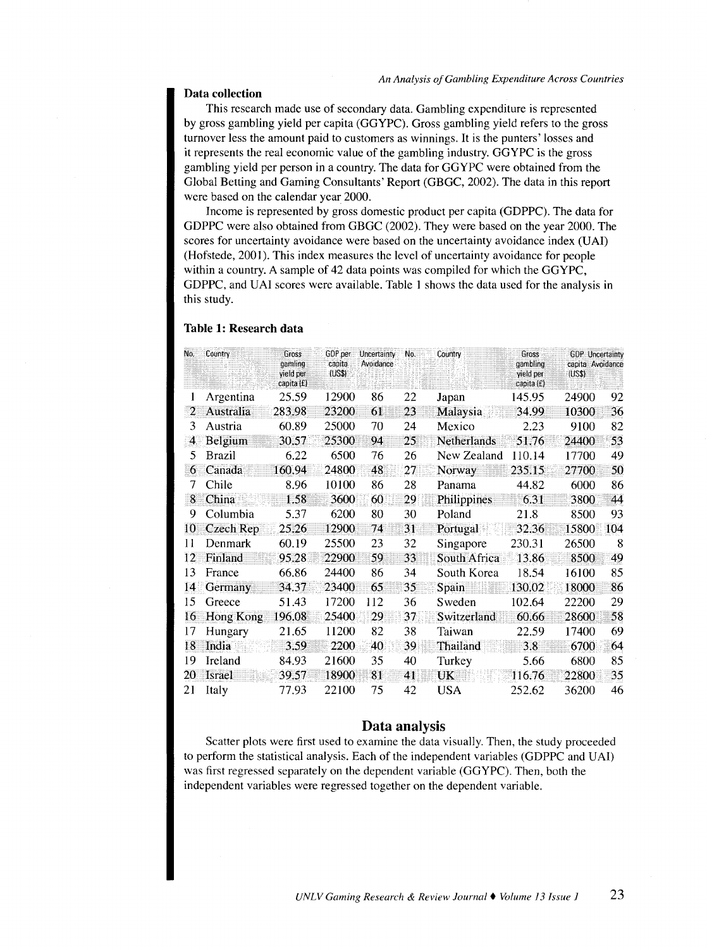#### **Data collection**

This research made use of secondary data. Gambling expenditure is represented by gross gambling yield per capita (GGYPC). Gross gambling yield refers to the gross turnover less the amount paid to customers as winnings. It is the punters' losses and it represents the real economic value of the gambling industry. GGYPC is the gross gambling yield per person in a country. The data for GGYPC were obtained from the Global Betting and Gaming Consultants' Report (GBGC, 2002). The data in this report were based on the calendar year 2000.

Income is represented by gross domestic product per capita (GDPPC). The data for GDPPC were also obtained from GBGC (2002). They were based on the year 2000. The scores for uncertainty avoidance were based on the uncertainty avoidance index (UAI) (Hofstede, 2001). This index measures the level of uncertainty avoidance for people within a country. A sample of 42 data points was compiled for which the GGYPC, GDPPC, and UAI scores were available. Table 1 shows the data used for the analysis in this study.

### **Table 1: Research data**

| No. | Country          | Gross<br>gamling<br>yield per<br>capita (£) | GDP per<br>capita<br>(USS) | Uncertainty<br>Avoidance | No. | Country      | Gross<br>gambling<br>yield per<br>capita (£) | <b>GDP</b> Uncertainty<br>capita Avoidance<br>(US\$) |     |
|-----|------------------|---------------------------------------------|----------------------------|--------------------------|-----|--------------|----------------------------------------------|------------------------------------------------------|-----|
| L   | Argentina        | 25.59                                       | 12900                      | 86                       | 22  | Japan        | 145.95                                       | 24900                                                | 92  |
| 2   | Australia        | 283.98                                      | 23200                      | 61                       | 23  | Malaysia     | 34.99                                        | 10300                                                | 36  |
| 3   | Austria          | 60.89                                       | 25000                      | 70                       | 24  | Mexico       | 2.23                                         | 9100                                                 | 82  |
| 4   | Belgium          | 30.57                                       | 25300                      | 94                       | 25  | Netherlands  | 51.76                                        | 24400                                                | 53  |
| 5   | Brazil           | 6.22                                        | 6500                       | 76                       | 26  | New Zealand  | 110.14                                       | 17700                                                | 49  |
| 6   | Canada           | 160.94                                      | 24800                      | 48                       | 27  | Norway       | 235.15                                       | 27700                                                | 50  |
| 7   | Chile            | 8.96                                        | 10100                      | 86                       | 28  | Panama       | 44.82                                        | 6000                                                 | 86  |
| 8   | China            | 1.58                                        | 3600                       | 60                       | 29  | Philippines  | 6.31                                         | 3800                                                 | 44  |
| 9   | Columbia         | 5.37                                        | 6200                       | 80                       | 30  | Poland       | 21.8                                         | 8500                                                 | 93  |
| 10  | Czech Rep        | 25.26                                       | 12900                      | 74                       | 31  | Portugal     | 32.36                                        | 15800                                                | 104 |
| 11  | Denmark          | 60.19                                       | 25500                      | 23                       | 32  | Singapore    | 230.31                                       | 26500                                                | 8   |
| 12  | Finland          | 95.28                                       | 22900                      | 59                       | 33  | South Africa | 13.86                                        | 8500                                                 | 49  |
| 13  | France           | 66.86                                       | 24400                      | 86                       | 34  | South Korea  | 18.54                                        | 16100                                                | 85  |
| 14  | Germany          | 34.37                                       | 23400                      | 65                       | 35  | Spain        | 130.02                                       | 18000                                                | 86  |
| 15  | Greece           | 51.43                                       | 17200                      | 112                      | 36  | Sweden       | 102.64                                       | 22200                                                | 29  |
| 16  | <b>Hong Kong</b> | 196.08                                      | 25400                      | 29                       | 37  | Switzerland  | 60.66                                        | 28600                                                | 58  |
| 17  | Hungary          | 21.65                                       | 11200                      | 82                       | 38  | Taiwan       | 22.59                                        | 17400                                                | 69  |
| 18  | India            | 3.59                                        | 2200                       | 40                       | 39  | Thailand     | 3.8                                          | 6700                                                 | 64  |
| 19  | Ireland          | 84.93                                       | 21600                      | 35                       | 40  | Turkey       | 5.66                                         | 6800                                                 | 85  |
| 20  | <b>Israel</b>    | 39.57                                       | 18900                      | 81                       | 41  | UK           | 116.76                                       | 22800                                                | 35  |
| 21  | Italy            | 77.93                                       | 22100                      | 75                       | 42  | <b>USA</b>   | 252.62                                       | 36200                                                | 46  |

#### **Data analysis**

Scatter plots were first used to examine the data visually. Then, the study proceeded to perform the statistical analysis. Each of the independent variables (GDPPC and UAI) was first regressed separately on the dependent variable (GGYPC). Then, both the independent variables were regressed together on the dependent variable.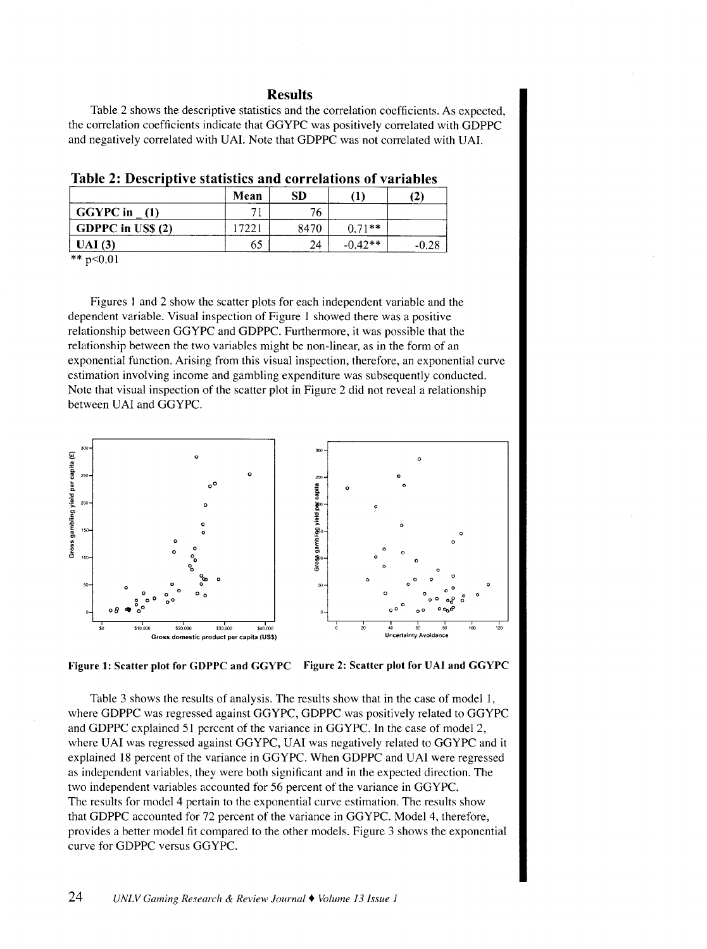#### Results

Table 2 shows the descriptive statistics and the correlation coefficients. As expected, the correlation coefficients indicate that GGYPC was positively correlated with GDPPC and negatively correlated with UAI. Note that GDPPC was not correlated with UAI.

|                           | Mean  | SD   |           | (2) |
|---------------------------|-------|------|-----------|-----|
| <b>GGYPC</b> in<br>- (1)  |       | 76   |           |     |
| $\vert$ GDPPC in US\$ (2) | [722] | 8470 | $0.71**$  |     |
| UAI(3)                    | 65    | 24   | $-0.42**$ |     |

Table 2: Descriptive statistics and correlations of variables

\*\*  $p<0.01$ 

Figures I and 2 show the scatter plots for each independent variable and the dependent variable. Visual inspection of Figure I showed there was a positive relationship between GGYPC and GDPPC. Furthermore, it was possible that the relationship between the two variables might be non-linear, as in the form of an exponential function. Arising from this visual inspection, therefore, an exponential curve estimation involving income and gambling expenditure was subsequently conducted. Note that visual inspection of the scatter plot in Figure 2 did not reveal a relationship between UAI and GGYPC.





Table 3 shows the results of analysis. The results show that in the case of model I, where GDPPC was regressed against GGYPC, GDPPC was positively related to GGYPC and GDPPC explained 51 percent of the variance in GGYPC. In the case of model 2, where UAI was regressed against GGYPC, UAI was negatively related to GGYPC and it explained I8 percent of the variance in GGYPC. When GDPPC and UAI were regressed as independent variables, they were both significant and in the expected direction. The two independent variables accounted for 56 percent of the variance in GGYPC. The results for model 4 pertain to the exponential curve estimation. The results show that GDPPC accounted for 72 percent of the variance in GGYPC. Model 4, therefore, provides a better model fit compared to the other models. Figure 3 shows the exponential curve for GDPPC versus GGYPC.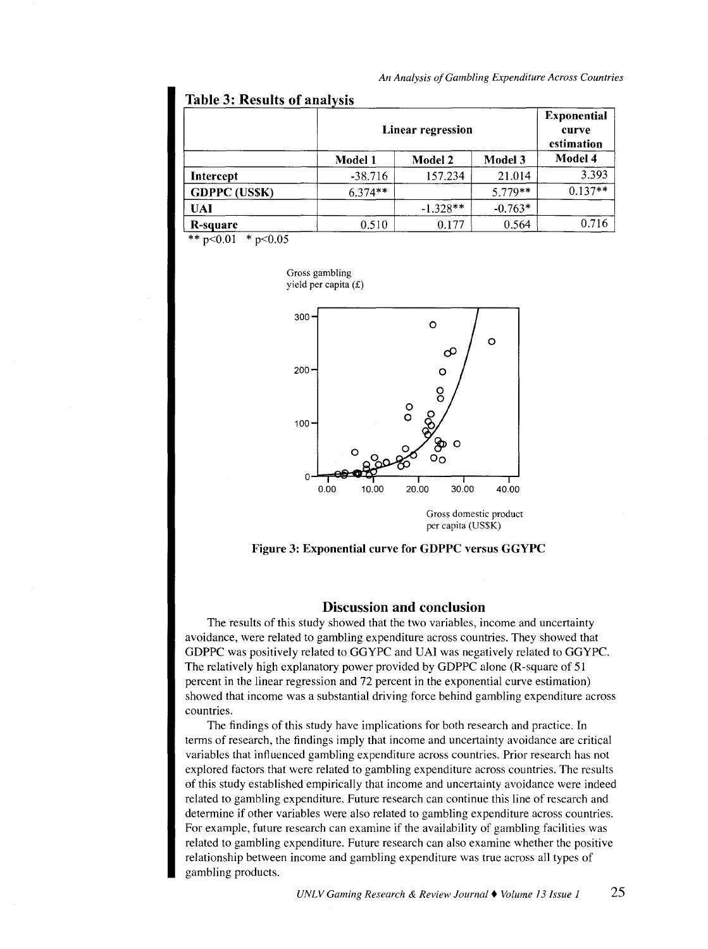## Table 3: Results of analysis

|                     |           | Linear regression |           |           |  |  |
|---------------------|-----------|-------------------|-----------|-----------|--|--|
|                     | Model 1   | <b>Model 2</b>    | Model 3   | Model 4   |  |  |
| Intercept           | $-38.716$ | 157.234           | 21.014    | 3.393     |  |  |
| <b>GDPPC (USSK)</b> | $6.374**$ |                   | $5.779**$ | $0.137**$ |  |  |
| <b>UAI</b>          |           | $-1.328**$        | $-0.763*$ |           |  |  |
| R-square            | 0.510     | 0.177             | 0.564     | 0.716     |  |  |

\*\*  $p<0.01$  \*  $p<0.05$ 

Gross gambling yield per capita(£)



Gross domestic product per capita (US\$K)



### Discussion and conclusion

The results of this study showed that the two variables, income and uncertainty avoidance, were related to gambling expenditure across countries. They showed that GDPPC was positively related to GGYPC and UAI was negatively related to GGYPC. The relatively high explanatory power provided by GDPPC alone (R-square of 51 percent in the linear regression and 72 percent in the exponential curve estimation) showed that income was a substantial driving force behind gambling expenditure across countries.

The findings of this study have implications for both research and practice. In terms of research, the findings imply that income and uncertainty avoidance are critical variables that influenced gambling expenditure across countries. Prior research has not explored factors that were related to gambling expenditure across countries. The results of this study established empirically that income and uncertainty avoidance were indeed related to gambling expenditure. Future research can continue this line of research and determine if other variables were also related to gambling expenditure across countries. For example, future research can examine if the availability of gambling facilities was related to gambling expenditure. Future research can also examine whether the positive relationship between income and gambling expenditure was true across all types of gambling products.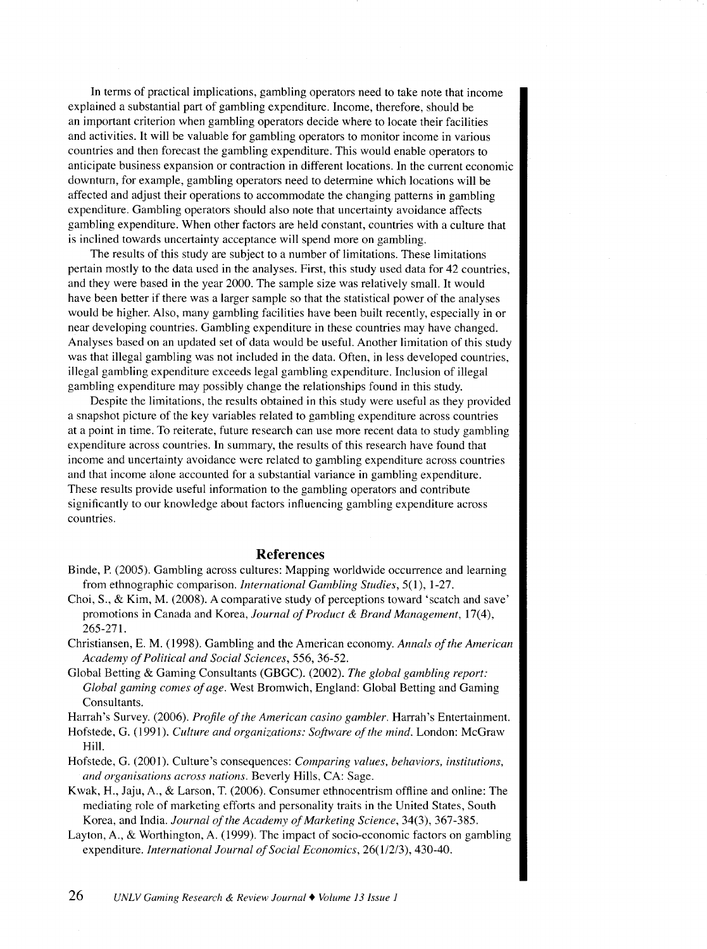In terms of practical implications, gambling operators need to take note that income explained a substantial part of gambling expenditure. Income, therefore, should be an important criterion when gambling operators decide where to locate their facilities and activities. It will be valuable for gambling operators to monitor income in various countries and then forecast the gambling expenditure. This would enable operators to anticipate business expansion or contraction in different locations. In the current economic downturn, for example, gambling operators need to determine which locations will be affected and adjust their operations to accommodate the changing patterns in gambling expenditure. Gambling operators should also note that uncertainty avoidance affects gambling expenditure. When other factors are held constant, countries with a culture that is inclined towards uncertainty acceptance will spend more on gambling.

The results of this study are subject to a number of limitations. These limitations pertain mostly to the data used in the analyses. First, this study used data for 42 countries, and they were based in the year 2000. The sample size was relatively small. It would have been better if there was a larger sample so that the statistical power of the analyses would be higher. Also, many gambling facilities have been built recently, especially in or near developing countries. Gambling expenditure in these countries may have changed. Analyses based on an updated set of data would be useful. Another limitation of this study was that illegal gambling was not included in the data. Often, in less developed countries, illegal gambling expenditure exceeds legal gambling expenditure. Inclusion of illegal gambling expenditure may possibly change the relationships found in this study.

Despite the limitations, the results obtained in this study were useful as they provided a snapshot picture of the key variables related to gambling expenditure across countries at a point in time. To reiterate, future research can use more recent data to study gambling expenditure across countries. In summary, the results of this research have found that income and uncertainty avoidance were related to gambling expenditure across countries and that income alone accounted for a substantial variance in gambling expenditure. These results provide useful information to the gambling operators and contribute significantly to our knowledge about factors influencing gambling expenditure across countries.

### **References**

- Binde, P. (2005). Gambling across cultures: Mapping worldwide occurrence and learning from ethnographic comparison. *International Gambling Studies,* 5(1), 1-27.
- Choi, S., & Kim, M. (2008). A comparative study of perceptions toward 'scatch and save' promotions in Canada and Korea, *Journal of Product* & *Brand Management,* 17(4), 265-271.
- Christiansen, E. M. ( 1998). Gambling and the American economy. *Annals of the American Academy of Political and Social Sciences,* 556, 36-52.
- Global Betting & Gaming Consultants (GBGC). (2002). *The global gambling report: Global gaming comes of age.* West Bromwich, England: Global Betting and Gaming Consultants.

Harrah's Survey. (2006). *Profile of the American casino gambler.* Harrah's Entertainment.

- Hofstede, G. (199 I). *Culture and organizations: Software of the mind.* London: McGraw Hill.
- Hofstede, G. (2001 ). Culture's consequences: *Comparing values, behaviors, institutions, and organisations across nations.* Beverly Hills, CA: Sage.
- Kwak, H., Jaju, A., & Larson, T. (2006). Consumer ethnocentrism offline and online: The mediating role of marketing efforts and personality traits in the United States, South Korea, and India. *Journal of the Academy of Marketing Science,* 34(3), 367-385.
- Layton, A., & Worthington, A. (1999). The impact of socio-economic factors on gambling expenditure. *International Journal of Social Economics,* 26(1/2/3), 430-40.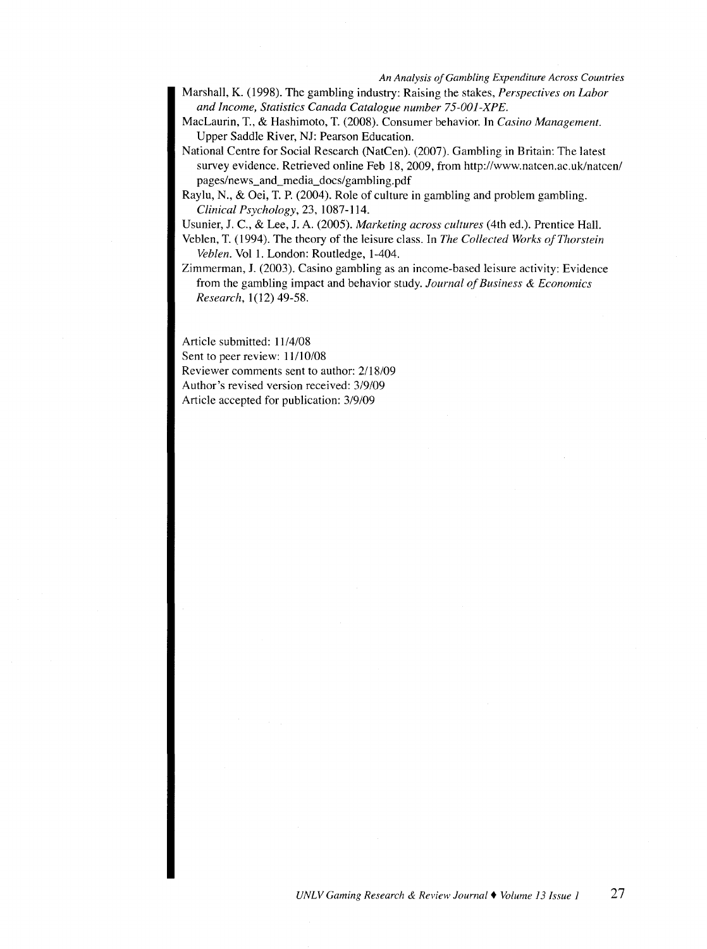- Marshall, K. (1998). The gambling industry: Raising the stakes, *Perspectives on Labor and Income, Statistics Canada Catalogue number 75-001-XPE.*
- MacLaurin, T., & Hashimoto, T. (2008). Consumer behavior. In *Casino Management.*  Upper Saddle River, NJ: Pearson Education.
- National Centre for Social Research (NatCen). (2007). Gambling in Britain: The latest survey evidence. Retrieved online Feb 18, 2009, from http://www.natcen.ac.uk/natcen/ pages/news\_and\_media\_docs/gambling.pdf
- Raylu, N., & Oei, T. P. (2004). Role of culture in gambling and problem gambling. *Clinical Psychology,* 23, 1087-114.

Usunier, J. C., & Lee, J. A. (2005). *Marketing across cultures* (4th ed.). Prentice Hall.

- Veblen, T. (1994). The theory of the leisure class. In *The Collected Works of Thorstein Veblen.* Vol 1. London: Routledge, 1-404.
- Zimmerman, J. (2003). Casino gambling as an income-based leisure activity: Evidence from the gambling impact and behavior study. *Journal of Business* & *Economics Research*, 1(12) 49-58.

Article submitted: 11/4/08 Sent to peer review: 11/10/08 Reviewer comments sent to author: 2118/09 Author's revised version received: 3/9/09 Article accepted for publication: 3/9/09